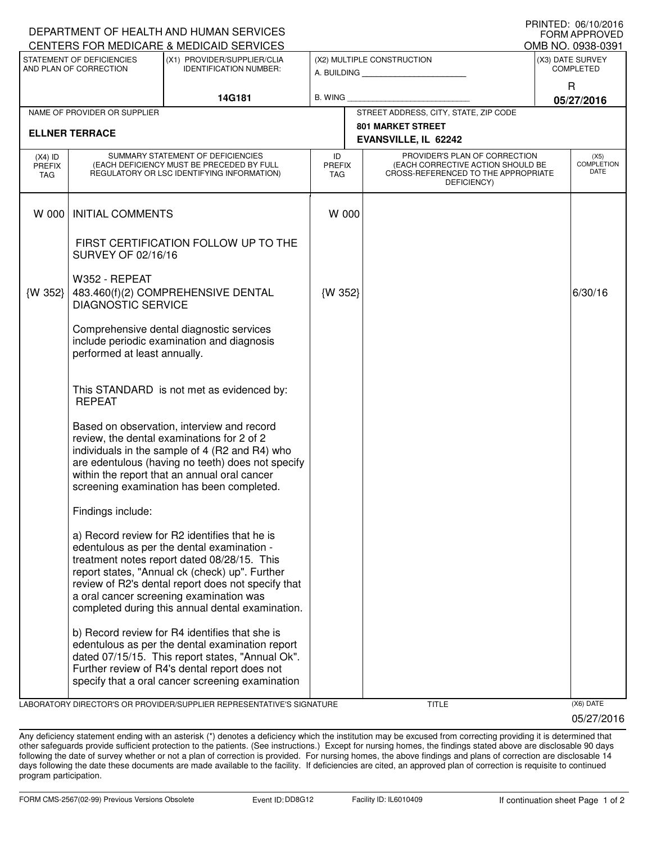| DEPARTMENT OF HEALTH AND HUMAN SERVICES                       |                                                                                                                              | FORM APPROVED                                                                                                                                                                                                                                                                                                                                     |                                                              |                                                                                                                          |  |                                      |  |  |  |
|---------------------------------------------------------------|------------------------------------------------------------------------------------------------------------------------------|---------------------------------------------------------------------------------------------------------------------------------------------------------------------------------------------------------------------------------------------------------------------------------------------------------------------------------------------------|--------------------------------------------------------------|--------------------------------------------------------------------------------------------------------------------------|--|--------------------------------------|--|--|--|
| CENTERS FOR MEDICARE & MEDICAID SERVICES<br>OMB NO. 0938-0391 |                                                                                                                              |                                                                                                                                                                                                                                                                                                                                                   |                                                              |                                                                                                                          |  |                                      |  |  |  |
| STATEMENT OF DEFICIENCIES<br>AND PLAN OF CORRECTION           |                                                                                                                              | (X1) PROVIDER/SUPPLIER/CLIA<br><b>IDENTIFICATION NUMBER:</b>                                                                                                                                                                                                                                                                                      | (X2) MULTIPLE CONSTRUCTION<br>A. BUILDING <b>A. BUILDING</b> |                                                                                                                          |  | (X3) DATE SURVEY<br><b>COMPLETED</b> |  |  |  |
|                                                               |                                                                                                                              | 14G181                                                                                                                                                                                                                                                                                                                                            | B. WING                                                      |                                                                                                                          |  | R<br>05/27/2016                      |  |  |  |
|                                                               | NAME OF PROVIDER OR SUPPLIER                                                                                                 |                                                                                                                                                                                                                                                                                                                                                   |                                                              | STREET ADDRESS, CITY, STATE, ZIP CODE                                                                                    |  |                                      |  |  |  |
| <b>ELLNER TERRACE</b>                                         |                                                                                                                              |                                                                                                                                                                                                                                                                                                                                                   |                                                              | <b>801 MARKET STREET</b><br>EVANSVILLE, IL 62242                                                                         |  |                                      |  |  |  |
| $(X4)$ ID<br>PREFIX<br><b>TAG</b>                             | SUMMARY STATEMENT OF DEFICIENCIES<br>(EACH DEFICIENCY MUST BE PRECEDED BY FULL<br>REGULATORY OR LSC IDENTIFYING INFORMATION) |                                                                                                                                                                                                                                                                                                                                                   | ID<br>PREFIX<br><b>TAG</b>                                   | PROVIDER'S PLAN OF CORRECTION<br>(EACH CORRECTIVE ACTION SHOULD BE<br>CROSS-REFERENCED TO THE APPROPRIATE<br>DEFICIENCY) |  | (X5)<br><b>COMPLETION</b><br>DATE    |  |  |  |
| W 000                                                         | <b>INITIAL COMMENTS</b>                                                                                                      |                                                                                                                                                                                                                                                                                                                                                   | W 000                                                        |                                                                                                                          |  |                                      |  |  |  |
|                                                               | SURVEY OF 02/16/16                                                                                                           | FIRST CERTIFICATION FOLLOW UP TO THE                                                                                                                                                                                                                                                                                                              |                                                              |                                                                                                                          |  |                                      |  |  |  |
| {W 352}                                                       | W352 - REPEAT<br>483.460(f)(2) COMPREHENSIVE DENTAL<br><b>DIAGNOSTIC SERVICE</b>                                             |                                                                                                                                                                                                                                                                                                                                                   | {W 352}                                                      |                                                                                                                          |  | 6/30/16                              |  |  |  |
|                                                               | Comprehensive dental diagnostic services<br>include periodic examination and diagnosis<br>performed at least annually.       |                                                                                                                                                                                                                                                                                                                                                   |                                                              |                                                                                                                          |  |                                      |  |  |  |
|                                                               | This STANDARD is not met as evidenced by:<br><b>REPEAT</b>                                                                   |                                                                                                                                                                                                                                                                                                                                                   |                                                              |                                                                                                                          |  |                                      |  |  |  |
|                                                               |                                                                                                                              | Based on observation, interview and record<br>review, the dental examinations for 2 of 2<br>individuals in the sample of 4 (R2 and R4) who<br>are edentulous (having no teeth) does not specify<br>within the report that an annual oral cancer<br>screening examination has been completed.                                                      |                                                              |                                                                                                                          |  |                                      |  |  |  |
|                                                               | Findings include:                                                                                                            |                                                                                                                                                                                                                                                                                                                                                   |                                                              |                                                                                                                          |  |                                      |  |  |  |
|                                                               |                                                                                                                              | a) Record review for R2 identifies that he is<br>edentulous as per the dental examination -<br>treatment notes report dated 08/28/15. This<br>report states, "Annual ck (check) up". Further<br>review of R2's dental report does not specify that<br>a oral cancer screening examination was<br>completed during this annual dental examination. |                                                              |                                                                                                                          |  |                                      |  |  |  |
|                                                               |                                                                                                                              | b) Record review for R4 identifies that she is<br>edentulous as per the dental examination report<br>dated 07/15/15. This report states, "Annual Ok".<br>Further review of R4's dental report does not<br>specify that a oral cancer screening examination                                                                                        |                                                              |                                                                                                                          |  |                                      |  |  |  |

LABORATORY DIRECTOR'S OR PROVIDER/SUPPLIER REPRESENTATIVE'S SIGNATURE TITLE (X6) DATE

05/27/2016

PRINTED: 06/10/2016

Any deficiency statement ending with an asterisk (\*) denotes a deficiency which the institution may be excused from correcting providing it is determined that other safeguards provide sufficient protection to the patients. (See instructions.) Except for nursing homes, the findings stated above are disclosable 90 days following the date of survey whether or not a plan of correction is provided. For nursing homes, the above findings and plans of correction are disclosable 14 days following the date these documents are made available to the facility. If deficiencies are cited, an approved plan of correction is requisite to continued program participation.